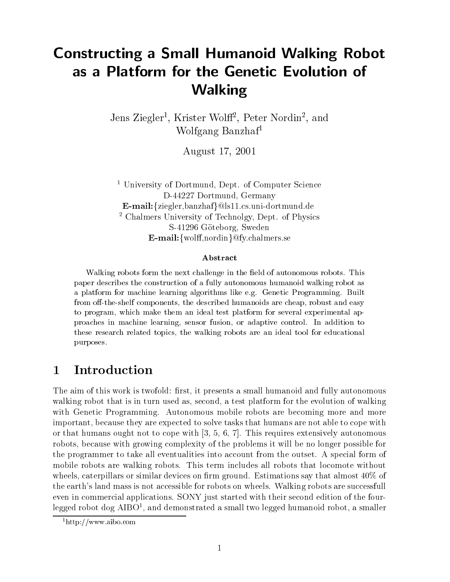# Constructing <sup>a</sup> Small Humanoid Walking Robot Walking

Jens Ziegler-, Krister Wolff-, Peter Nordin-, and Wolfgang Banzhaf<sup>1</sup>

August 17, 2001

<sup>1</sup> University of Dortmund, Dept. of Computer Science D-44227 Dortmund, Germany  $E-mail:$ {ziegler,banzhaf}@ls11.cs.uni-dortmund.de <sup>2</sup> Chalmers University of Technolgy, Dept. of Physics S-41296 Göteborg, Sweden  $E-mail:$ {wolff,nordin}@fy.chalmers.se

### Abstract

walking robots form the field challenge in the field of autonomous robots. This paper describes the construction of a fully autonomous humanoid walking robot asa platform for machiness learning algorithms like e.g. Genetic Programming. Built from off-the-shelf components, the described humanoids are cheap, robust and easy to program, which make them an ideal test platform for several experimental approaches in machine learning, sensor fusion, or adaptive control. In addition to these research related topics, the walking robots are an ideal tool for educational purposes.

#### **Introduction**  $\mathbf 1$

The aim of this work is twofold: first, it presents a small humanoid and fully autonomous walking robot that is in turn used as, second, a test platform for the evolution of walking with Genetic Programming. Autonomous mobile robots are becoming more and more important, because they are expected to solve tasks that humans are not able to cope with or that humans ought not to cope with  $[3, 5, 6, 7]$ . This requires extensively autonomous robots, because with growing complexity of the problems it will be no longer possible for the programmer to take all eventualities into account from the outset. A special form of mobile robots are walking robots. This term includes all robots that locomote without wheels, caterpillars or similar devices on firm ground. Estimations say that almost  $40\%$  of the earth's land mass is not accessible for robots on wheels. Walking robots are successfull even in commercial applications. SONY just started with their second edition of the fourlegged robot dog AIBO<sup>1</sup> , and demonstrated a small two legged humanoid robot, a smaller

<sup>1</sup>http://www.aibo.com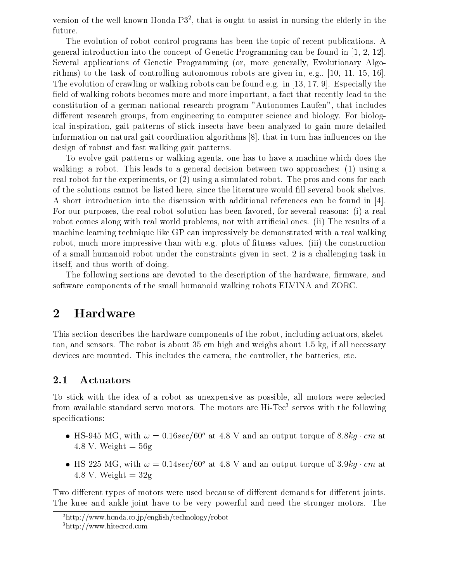version of the well known Honda P32 , that is ought to assist in nursing the elderly in the future.

The evolution of robot control programs has been the topic of recent publications. A general introduction into the concept of Genetic Programming can be found in [1, 2, 12]. Several applications of Genetic Programming (or, more generally, Evolutionary Algorithms) to the task of controlling autonomous robots are given in, e.g., [10, 11, 15, 16]. The evolution of crawling or walking robots can be found e.g. in [13, 17, 9]. Especially the field of walking robots becomes more and more important, a fact that recently lead to the constitution of a german national research program "Autonomes Laufen", that includes different research groups, from engineering to computer science and biology. For biological inspiration, gait patterns of stick insects have been analyzed to gain more detailed information on natural gait coordination algorithms  $[8]$ , that in turn has influences on the design of robust and fast walking gait patterns.

To evolve gait patterns or walking agents, one has to have a machine which does the walking: a robot. This leads to a general decision between two approaches: (1) using a real robot for the experiments, or (2) using a simulated robot. The pros and cons for each of the solutions cannot be listed here, since the literature would fill several book shelves. A short introduction into the discussion with additional references can be found in [4]. For our purposes, the real robot solution has been favored, for several reasons: (i) a real robot comes along with real world problems, not with artificial ones. (ii) The results of a machine learning technique like GP can impressively be demonstrated with a real walking robot, much more impressive than with e.g. plots of fitness values. (iii) the construction of a small humanoid robot under the constraints given in sect. 2 is a challenging task in itself, and thus worth of doing.

The following sections are devoted to the description of the hardware, firmware, and software components of the small humanoid walking robots ELVINA and ZORC.

### 2 Hardware

This section describes the hardware components of the robot, including actuators, skeletton, and sensors. The robot is about 35 cm high and weighs about 1.5 kg, if all necessary devices are mounted. This includes the camera, the controller, the batteries, etc.

### 2.1 Actuators

To stick with the idea of a robot as unexpensive as possible, all motors were selected from available standard servo motors. The motors are Hi-Tec<sup>3</sup> servos with the following specifications:

- HS-945 MG, with  $\omega = 0.16 sec/b0^{\circ}$  at 4.8 V and an output torque of 8.8kg  $\cdot$  cm at 4.8 V. Weight  $= 56g$
- HS-225 MG, with  $\omega = 0.14 sec/60^{\circ}$  at 4.8 V and an output torque of 3.9kg  $cm$  at 4.8 V. Weight  $= 32$ g

Two different types of motors were used because of different demands for different joints. The knee and ankle joint have to be very powerful and need the stronger motors. The

<sup>2</sup>http://www.honda.co.jp/english/technology/robot

<sup>3</sup>http://www.hitecrcd.com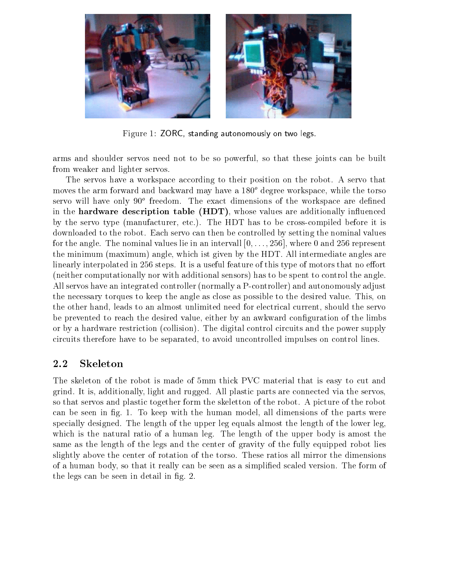

Figure 1: ZORC, standing autonomously on two legs.

arms and shoulder servos need not to be so powerful, so that these joints can be built from weaker and lighter servos.

The servos have a workspace according to their position on the robot. A servo that moves the arm forward and backward may have a  $180^{\circ}$  degree workspace, while the torso servo will have only 90° freedom. The exact dimensions of the workspace are defined in the **hardware description table (HDT)**, whose values are additionally influenced by the servo type (manufacturer, etc.). The HDT has to be cross-compiled before it is downloaded to the robot. Each servo can then be controlled by setting the nominal values for the angle. The nominal values lie in an intervall  $[0,\ldots, 256]$ , where 0 and 256 represent the minimum (maximum) angle, which ist given by the HDT. All intermediate angles are linearly interpolated in 256 steps. It is a useful feature of this type of motors that no effort (neither computationally nor with additional sensors) has to be spent to control the angle. All servos have an integrated controller (normally a P-controller) and autonomously adjust the necessary torques to keep the angle as close as possible to the desired value. This, on the other hand, leads to an almost unlimited need for electrical current, should the servo be prevented to reach the desired value, either by an awkward conguration of the limbs or by a hardware restriction (collision). The digital control circuits and the power supply circuits therefore have to be separated, to avoid uncontrolled impulses on control lines.

### 2.2 Skeleton

The skeleton of the robot is made of 5mm thick PVC material that is easy to cut and grind. It is, additionally, light and rugged. All plastic parts are connected via the servos, so that servos and plastic together form the skeletton of the robot. A picture of the robot can be seen in fig. 1. To keep with the human model, all dimensions of the parts were specially designed. The length of the upper leg equals almost the length of the lower leg, which is the natural ratio of a human leg. The length of the upper body is amost the same as the length of the legs and the center of gravity of the fully equipped robot lies slightly above the center of rotation of the torso. These ratios all mirror the dimensions of a human body, so that it really can be seen as a simplied scaled version. The form of the legs can be seen in detail in fig. 2.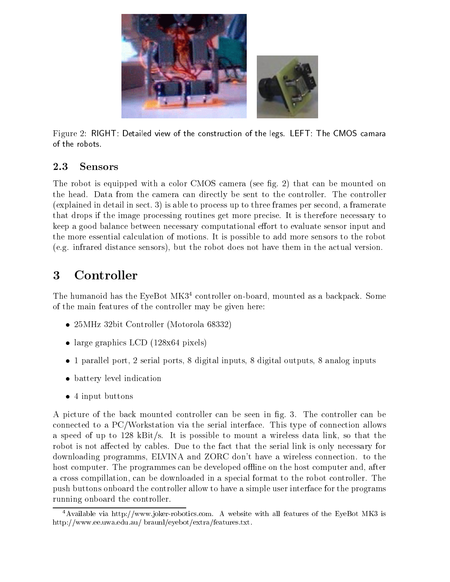

Figure 2: RIGHT: Detailed view of the construction of the legs. LEFT: The CMOS camara of the robots.

### 2.3 Sensors

The robot is equipped with a color CMOS camera (see fig. 2) that can be mounted on the head. Data from the camera can directly be sent to the controller. The controller (explained in detail in sect. 3) is able to process up to three frames per second, a framerate that drops if the image processing routines get more precise. It is therefore necessary to keep a good balance between necessary computational effort to evaluate sensor input and the more essential calculation of motions. It is possible to add more sensors to the robot (e.g. infrared distance sensors), but the robot does not have them in the actual version.

### 3 **Controller**

The humanoid has the EyeBot  $M<sup>34</sup>$  controller on-board, mounted as a backpack. Some of the main features of the controller may be given here:

- 25MHz 32bit Controller (Motorola 68332)
- $\bullet$  large graphics LCD (128x04 pixels)
- $\bullet$  1 parallel port, 2 serial ports, 8 digital inputs, 8 digital outputs, 8 analog inputs
- $\bullet$  battery level indication
- $\bullet$  4 input buttons

A picture of the back mounted controller can be seen in g. 3. The controller can be connected to a PC/Workstation via the serial interface. This type of connection allows a speed of up to 128 kBit/s. It is possible to mount a wireless data link, so that the robot is not affected by cables. Due to the fact that the serial link is only necessary for downloading programms, ELVINA and ZORC don't have a wireless connection. to the host computer. The programmes can be developed offline on the host computer and, after a cross compillation, can be downloaded in a special format to the robot controller. The push buttons onboard the controller allow to have a simple user interface for the programs running onboard the controller.

<sup>4</sup>Available via http://www.joker-robotics.com. A website with all features of the EyeBot MK3 is http://www.ee.uwa.edu.au/ braunl/eyebot/extra/features.txt.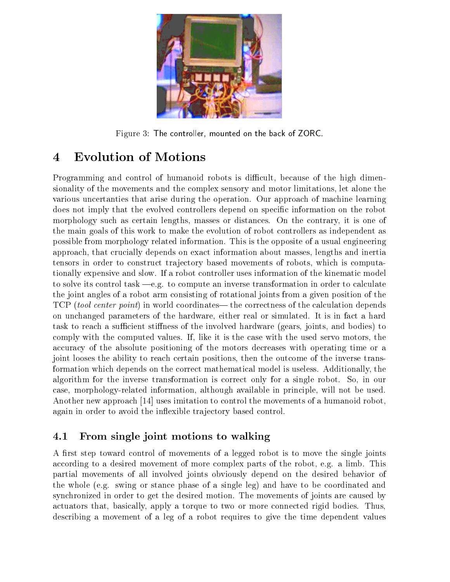

Figure 3: The controller, mounted on the back of ZORC.

## 4 Evolution of Motions

Programming and control of humanoid robots is difficult, because of the high dimensionality of the movements and the complex sensory and motor limitations, let alone the various uncertanties that arise during the operation. Our approach of machine learning does not imply that the evolved controllers depend on specic information on the robot morphology such as certain lengths, masses or distances. On the contrary, it is one of the main goals of this work to make the evolution of robot controllers as independent as possible from morphology related information. This is the opposite of a usual engineering approach, that crucially depends on exact information about masses, lengths and inertia tensors in order to construct tra jectory based movements of robots, which is computationally expensive and slow. If a robot controller uses information of the kinematic model to solve its control task  $-e.g.$  to compute an inverse transformation in order to calculate the joint angles of a robot arm consisting of rotational joints from a given position of the TCP *(tool center point)* in world coordinates— the correctness of the calculation depends on unchanged parameters of the hardware, either real or simulated. It is in fact a hard task to reach a sufficient stiffness of the involved hardware (gears, joints, and bodies) to comply with the computed values. If, like it is the case with the used servo motors, the accuracy of the absolute positioning of the motors decreases with operating time or a joint looses the ability to reach certain positions, then the outcome of the inverse transformation which depends on the correct mathematical model is useless. Additionally, the algorithm for the inverse transformation is correct only for a single robot. So, in our case, morphology-related information, although available in principle, will not be used. Another new approach [14] uses imitation to control the movements of a humanoid robot, again in order to avoid the inflexible trajectory based control.

### 4.1 From single joint motions to walking

A first step toward control of movements of a legged robot is to move the single joints according to a desired movement of more complex parts of the robot, e.g. a limb. This partial movements of all involved joints obviously depend on the desired behavior of the whole (e.g. swing or stance phase of a single leg) and have to be coordinated and synchronized in order to get the desired motion. The movements of joints are caused by actuators that, basically, apply a torque to two or more connected rigid bodies. Thus, describing a movement of a leg of a robot requires to give the time dependent values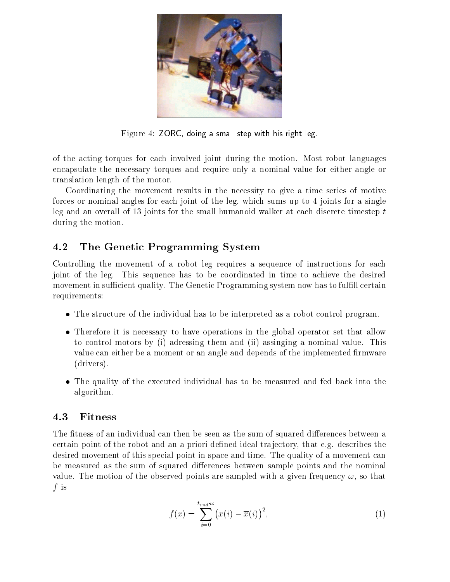

Figure 4: ZORC, doing a small step with his right leg.

of the acting torques for each involved joint during the motion. Most robot languages encapsulate the necessary torques and require only a nominal value for either angle or translation length of the motor.

Coordinating the movement results in the necessity to give a time series of motive forces or nominal angles for each joint of the leg, which sums up to 4 joints for a single leg and an overall of 13 joints for the small humanoid walker at each discrete timestep <sup>t</sup> during the motion.

## 4.2 The Genetic Programming System

Controlling the movement of a robot leg requires a sequence of instructions for each joint of the leg. This sequence has to be coordinated in time to achieve the desired movement in sufficient quality. The Genetic Programming system now has to fulfill certain requirements:

- $\bullet$  The structure of the individual has to be interpreted as a robot control program.
- $\bullet$  Therefore it is necessary to have operations in the global operator set that allow to control motors by (i) adressing them and (ii) assinging a nominal value. This value can either be a moment or an angle and depends of the implemented firmware (drivers).
- $\bullet$  The quality of the executed individual has to be measured and fed back into the  $\bullet$ algorithm.

The fitness of an individual can then be seen as the sum of squared differences between a certain point of the robot and an a priori defined ideal trajectory, that e.g. describes the desired movement of this special point in space and time. The quality of a movement can be measured as the sum of squared differences between sample points and the nominal value. The motion of the observed points are sampled with a given frequency  $\omega$ , so that  $f$  is the internal contract of  $f$ 

$$
f(x) = \sum_{i=0}^{t_{end}\omega} \left(x(i) - \overline{x}(i)\right)^2, \tag{1}
$$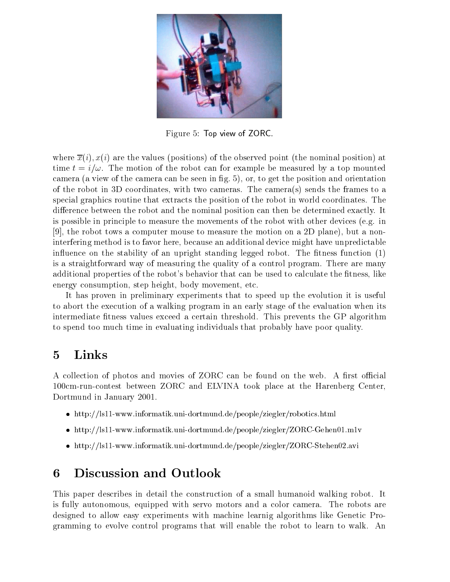

Figure 5: Top view of ZORC.

where  $\overline{x}(i)$ ,  $x(i)$  are the values (positions) of the observed point (the nominal position) at time  $t = i/\omega$ . The motion of the robot can for example be measured by a top mounted camera (a view of the camera can be seen in g. 5), or, to get the position and orientation of the robot in 3D coordinates, with two cameras. The camera(s) sends the frames to a special graphics routine that extracts the position of the robot in world coordinates. The difference between the robot and the nominal position can then be determined exactly. It is possible in principle to measure the movements of the robot with other devices (e.g. in [9], the robot tows a computer mouse to measure the motion on a 2D plane), but a noninterfering method is to favor here, because an additional device might have unpredictable influence on the stability of an upright standing legged robot. The fitness function (1) is a straightforward way of measuring the quality of a control program. There are many additional properties of the robot's behavior that can be used to calculate the fitness, like energy consumption, step height, body movement, etc.

It has proven in preliminary experiments that to speed up the evolution it is useful to abort the execution of a walking program in an early stage of the evaluation when its intermediate fitness values exceed a certain threshold. This prevents the GP algorithm to spend too much time in evaluating individuals that probably have poor quality.

## 5 Links

A collection of photos and movies of ZORC can be found on the web. A first official 100cm-run-contest between ZORC and ELVINA took place at the Harenberg Center, Dortmund in January 2001.

- http://ls11-www.informatik.uni-dortmund.de/people/ziegler/robotics.html
- http://mini-dortmund.de/people/ziedler/people/ziegler/Zorc-Gehend.de/people/ziegler/Zorc-Gehender/Zorc-Gehende
- http://ls11-www.informatik.uni-dortmund.de/people/ziegler/ZORC-Stehen02.avi

#### 6 6 Discussion and Outlook

This paper describes in detail the construction of a small humanoid walking robot. It is fully autonomous, equipped with servo motors and a color camera. The robots are designed to allow easy experiments with machine learnig algorithms like Genetic Programming to evolve control programs that will enable the robot to learn to walk. An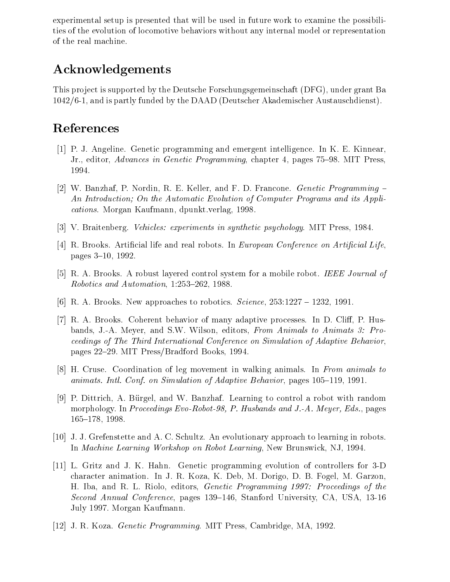experimental setup is presented that will be used in future work to examine the possibilities of the evolution of locomotive behaviors without any internal model or representation of the real machine.

## Acknowledgements

This project is supported by the Deutsche Forschungsgemeinschaft (DFG), under grant Ba 1042/6-1, and is partly funded by the DAAD (Deutscher Akademischer Austauschdienst).

## References

- [1] P. J. Angeline. Genetic programming and emergent intelligence. In K. E. Kinnear, Jr., editor, Advances in Genetic Programming, chapter 4, pages 75–98. MIT Press, 1994.
- [2] W. Banzhaf, P. Nordin, R. E. Keller, and F. D. Francone. *Genetic Programming*  $-$ An Introduction; On the Automatic Evolution of Computer Programs and its Applications. Morgan Kaufmann, dpunkt.verlag, 1998.
- [3] V. Braitenberg. Vehicles: experiments in synthetic psychology. MIT Press, 1984.
- [4] R. Brooks. Artificial life and real robots. In *European Conference on Artificial Life.* pages  $3-10$ , 1992.
- [5] R. A. Brooks. A robust layered control system for a mobile robot. IEEE Journal of Robotics and Automation,  $1:253-262$ , 1988.
- [6] R. A. Brooks. New approaches to robotics.  $Science$ ,  $253:1227 1232$ , 1991.
- [7] R. A. Brooks. Coherent behavior of many adaptive processes. In D. Cliff, P. Husbands, J.-A. Meyer, and S.W. Wilson, editors, From Animals to Animats 3: Proceedings of The Third International Conference on Simulation of Adaptive Behavior, pages 22–29. MIT Press/Bradford Books, 1994.
- [8] H. Cruse. Coordination of leg movement in walking animals. In From animals to animats. Intl. Conf. on Simulation of Adaptive Behavior, pages  $105{-}119$ , 1991.
- [9] P. Dittrich, A. Burgel, and W. Banzhaf. Learning to control a robot with random morphology. In Proceedings Evo-Robot-98, P. Husbands and J.-A. Meyer, Eds., pages 165{178, 1998.
- [10] J. J. Grefenstette and A. C. Schultz. An evolutionary approach to learning in robots. In Machine Learning Workshop on Robot Learning, New Brunswick, NJ, 1994.
- [11] L. Gritz and J. K. Hahn. Genetic programming evolution of controllers for 3-D character animation. In J. R. Koza, K. Deb, M. Dorigo, D. B. Fogel, M. Garzon, H. Iba, and R. L. Riolo, editors, Genetic Programming 1997: Proceedings of the Second Annual Conference, pages 139–146, Stanford University, CA, USA, 13-16 July 1997. Morgan Kaufmann.
- [12] J. R. Koza. Genetic Programming. MIT Press, Cambridge, MA, 1992.